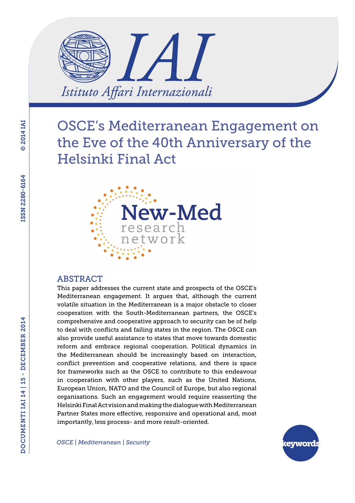

OSCE's Mediterranean Engagement on the Eve of the 40th Anniversary of the Helsinki Final Act



## **ABSTRACT**

This paper addresses the current state and prospects of the OSCE's Mediterranean engagement. It argues that, although the current volatile situation in the Mediterranean is a major obstacle to closer cooperation with the South-Mediterranean partners, the OSCE's comprehensive and cooperative approach to security can be of help to deal with conflicts and failing states in the region. The OSCE can also provide useful assistance to states that move towards domestic reform and embrace regional cooperation. Political dynamics in the Mediterranean should be increasingly based on interaction, conflict prevention and cooperative relations, and there is space for frameworks such as the OSCE to contribute to this endeavour in cooperation with other players, such as the United Nations, European Union, NATO and the Council of Europe, but also regional organisations. Such an engagement would require reasserting the Helsinki Final Act vision and making the dialogue with Mediterranean Partner States more effective, responsive and operational and, most importantly, less process- and more result-oriented.

*OSCE | Mediterranean | Security*

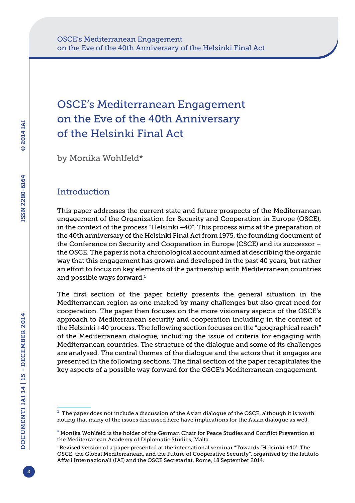# OSCE's Mediterranean Engagement on the Eve of the 40th Anniversary of the Helsinki Final Act

by Monika Wohlfeld\*

# Introduction

This paper addresses the current state and future prospects of the Mediterranean engagement of the Organization for Security and Cooperation in Europe (OSCE), in the context of the process "Helsinki +40". This process aims at the preparation of the 40th anniversary of the Helsinki Final Act from 1975, the founding document of the Conference on Security and Cooperation in Europe (CSCE) and its successor – the OSCE. The paper is not a chronological account aimed at describing the organic way that this engagement has grown and developed in the past 40 years, but rather an effort to focus on key elements of the partnership with Mediterranean countries and possible ways forward.<sup>1</sup>

The first section of the paper briefly presents the general situation in the Mediterranean region as one marked by many challenges but also great need for cooperation. The paper then focuses on the more visionary aspects of the OSCE's approach to Mediterranean security and cooperation including in the context of the Helsinki +40 process. The following section focuses on the "geographical reach" of the Mediterranean dialogue, including the issue of criteria for engaging with Mediterranean countries. The structure of the dialogue and some of its challenges are analysed. The central themes of the dialogue and the actors that it engages are presented in the following sections. The final section of the paper recapitulates the key aspects of a possible way forward for the OSCE's Mediterranean engagement.

 $^{\rm 1}$  The paper does not include a discussion of the Asian dialogue of the OSCE, although it is worth noting that many of the issues discussed here have implications for the Asian dialogue as well.

<sup>\*</sup> Monika Wohlfeld is the holder of the German Chair for Peace Studies and Conflict Prevention at the Mediterranean Academy of Diplomatic Studies, Malta.

<sup>.</sup> Revised version of a paper presented at the international seminar "Towards 'Helsinki +40': The OSCE, the Global Mediterranean, and the Future of Cooperative Security", organised by the Istituto Affari Internazionali (IAI) and the OSCE Secretariat, Rome, 18 September 2014.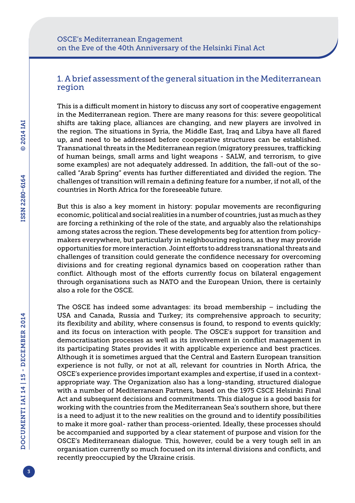# 1. A brief assessment of the general situation in the Mediterranean region

This is a difficult moment in history to discuss any sort of cooperative engagement in the Mediterranean region. There are many reasons for this: severe geopolitical shifts are taking place, alliances are changing, and new players are involved in the region. The situations in Syria, the Middle East, Iraq and Libya have all flared up, and need to be addressed before cooperative structures can be established. Transnational threats in the Mediterranean region (migratory pressures, trafficking of human beings, small arms and light weapons - SALW, and terrorism, to give some examples) are not adequately addressed. In addition, the fall-out of the socalled "Arab Spring" events has further differentiated and divided the region. The challenges of transition will remain a defining feature for a number, if not all, of the countries in North Africa for the foreseeable future.

But this is also a key moment in history: popular movements are reconfiguring economic, political and social realities in a number of countries, just as much as they are forcing a rethinking of the role of the state, and arguably also the relationships among states across the region. These developments beg for attention from policymakers everywhere, but particularly in neighbouring regions, as they may provide opportunities for more interaction. Joint efforts to address transnational threats and challenges of transition could generate the confidence necessary for overcoming divisions and for creating regional dynamics based on cooperation rather than conflict. Although most of the efforts currently focus on bilateral engagement through organisations such as NATO and the European Union, there is certainly also a role for the OSCE.

The OSCE has indeed some advantages: its broad membership – including the USA and Canada, Russia and Turkey; its comprehensive approach to security; its flexibility and ability, where consensus is found, to respond to events quickly; and its focus on interaction with people. The OSCE's support for transition and democratisation processes as well as its involvement in conflict management in its participating States provides it with applicable experience and best practices. Although it is sometimes argued that the Central and Eastern European transition experience is not fully, or not at all, relevant for countries in North Africa, the OSCE's experience provides important examples and expertise, if used in a contextappropriate way. The Organization also has a long-standing, structured dialogue with a number of Mediterranean Partners, based on the 1975 CSCE Helsinki Final Act and subsequent decisions and commitments. This dialogue is a good basis for working with the countries from the Mediterranean Sea's southern shore, but there is a need to adjust it to the new realities on the ground and to identify possibilities to make it more goal- rather than process-oriented. Ideally, these processes should be accompanied and supported by a clear statement of purpose and vision for the OSCE's Mediterranean dialogue. This, however, could be a very tough sell in an organisation currently so much focused on its internal divisions and conflicts, and recently preoccupied by the Ukraine crisis.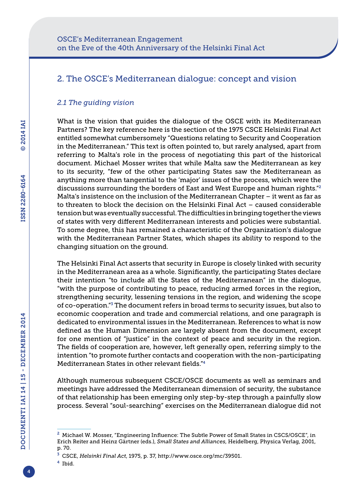# 2. The OSCE's Mediterranean dialogue: concept and vision

## *2.1 The guiding vision*

What is the vision that guides the dialogue of the OSCE with its Mediterranean Partners? The key reference here is the section of the 1975 CSCE Helsinki Final Act entitled somewhat cumbersomely "Questions relating to Security and Cooperation in the Mediterranean." This text is often pointed to, but rarely analysed, apart from referring to Malta's role in the process of negotiating this part of the historical document. Michael Mosser writes that while Malta saw the Mediterranean as key to its security, "few of the other participating States saw the Mediterranean as anything more than tangential to the 'major' issues of the process, which were the discussions surrounding the borders of East and West Europe and human rights."<sup>2</sup> Malta's insistence on the inclusion of the Mediterranean Chapter – it went as far as to threaten to block the decision on the Helsinki Final Act – caused considerable tension but was eventually successful. The difficulties in bringing together the views of states with very different Mediterranean interests and policies were substantial. To some degree, this has remained a characteristic of the Organization's dialogue with the Mediterranean Partner States, which shapes its ability to respond to the changing situation on the ground.

The Helsinki Final Act asserts that security in Europe is closely linked with security in the Mediterranean area as a whole. Significantly, the participating States declare their intention "to include all the States of the Mediterranean" in the dialogue, "with the purpose of contributing to peace, reducing armed forces in the region, strengthening security, lessening tensions in the region, and widening the scope of co-operation."<sup>3</sup> The document refers in broad terms to security issues, but also to economic cooperation and trade and commercial relations, and one paragraph is dedicated to environmental issues in the Mediterranean. References to what is now defined as the Human Dimension are largely absent from the document, except for one mention of "justice" in the context of peace and security in the region. The fields of cooperation are, however, left generally open, referring simply to the intention "to promote further contacts and cooperation with the non-participating Mediterranean States in other relevant fields."<sup>4</sup>

Although numerous subsequent CSCE/OSCE documents as well as seminars and meetings have addressed the Mediterranean dimension of security, the substance of that relationship has been emerging only step-by-step through a painfully slow process. Several "soul-searching" exercises on the Mediterranean dialogue did not

<sup>2</sup> Michael W. Mosser, "Engineering Influence: The Subtle Power of Small States in CSCS/OSCE", in Erich Reiter and Heinz Gärtner (eds.), *Small States and Alliances*, Heidelberg, Physica Verlag, 2001, p. 70.

<sup>3</sup> CSCE, *Helsinki Final Act*, 1975, p. 37, <http://www.osce.org/mc/39501>.

<sup>4</sup> Ibid.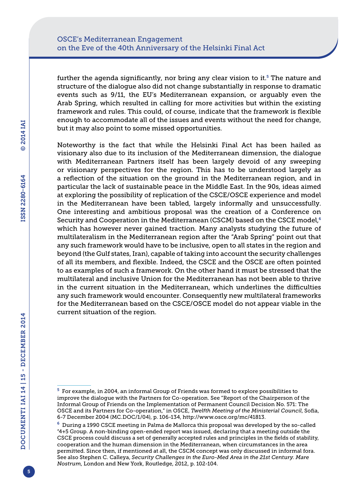further the agenda significantly, nor bring any clear vision to it.<sup>5</sup> The nature and structure of the dialogue also did not change substantially in response to dramatic events such as 9/11, the EU's Mediterranean expansion, or arguably even the Arab Spring, which resulted in calling for more activities but within the existing framework and rules. This could, of course, indicate that the framework is flexible enough to accommodate all of the issues and events without the need for change, but it may also point to some missed opportunities.

Noteworthy is the fact that while the Helsinki Final Act has been hailed as visionary also due to its inclusion of the Mediterranean dimension, the dialogue with Mediterranean Partners itself has been largely devoid of any sweeping or visionary perspectives for the region. This has to be understood largely as a reflection of the situation on the ground in the Mediterranean region, and in particular the lack of sustainable peace in the Middle East. In the 90s, ideas aimed at exploring the possibility of replication of the CSCE/OSCE experience and model in the Mediterranean have been tabled, largely informally and unsuccessfully. One interesting and ambitious proposal was the creation of a Conference on Security and Cooperation in the Mediterranean (CSCM) based on the CSCE model, $6$ which has however never gained traction. Many analysts studying the future of multilateralism in the Mediterranean region after the "Arab Spring" point out that any such framework would have to be inclusive, open to all states in the region and beyond (the Gulf states, Iran), capable of taking into account the security challenges of all its members, and flexible. Indeed, the CSCE and the OSCE are often pointed to as examples of such a framework. On the other hand it must be stressed that the multilateral and inclusive Union for the Mediterranean has not been able to thrive in the current situation in the Mediterranean, which underlines the difficulties any such framework would encounter. Consequently new multilateral frameworks for the Mediterranean based on the CSCE/OSCE model do not appear viable in the current situation of the region.

<sup>5</sup> For example, in 2004, an informal Group of Friends was formed to explore possibilities to improve the dialogue with the Partners for Co-operation. See "Report of the Chairperson of the Informal Group of Friends on the Implementation of Permanent Council Decision No. 571: The OSCE and its Partners for Co-operation," in OSCE, *Twelfth Meeting of the Ministerial Council*, Sofia, 6-7 December 2004 ([MC.DOC/](MC.DOC)1/04), p. 106-134, [http://www.osce.org/mc/41813.](http://www.osce.org/mc/41813)

<sup>6</sup> During a 1990 CSCE meeting in Palma de Mallorca this proposal was developed by the so-called "4+5 Group. A non-binding open-ended report was issued, declaring that a meeting outside the CSCE process could discuss a set of generally accepted rules and principles in the fields of stability, cooperation and the human dimension in the Mediterranean, when circumstances in the area permitted. Since then, if mentioned at all, the CSCM concept was only discussed in informal fora. See also Stephen C. Calleya, *Security Challenges in the Euro-Med Area in the 21st Century. Mare Nostrum*, London and New York, Routledge, 2012, p. 102-104.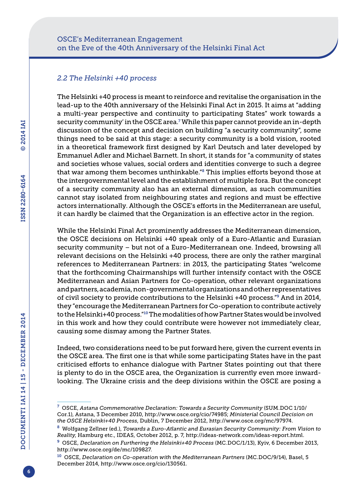## *2.2 The Helsinki +40 process*

The Helsinki +40 process is meant to reinforce and revitalise the organisation in the lead-up to the 40th anniversary of the Helsinki Final Act in 2015. It aims at "adding a multi-year perspective and continuity to participating States" work towards a security community' in the OSCE area.<sup>7</sup> While this paper cannot provide an in-depth discussion of the concept and decision on building "a security community", some things need to be said at this stage: a security community is a bold vision, rooted in a theoretical framework first designed by Karl Deutsch and later developed by Emmanuel Adler and Michael Barnett. In short, it stands for "a community of states and societies whose values, social orders and identities converge to such a degree that war among them becomes unthinkable."<sup>8</sup> This implies efforts beyond those at the intergovernmental level and the establishment of multiple fora. But the concept of a security community also has an external dimension, as such communities cannot stay isolated from neighbouring states and regions and must be effective actors internationally. Although the OSCE's efforts in the Mediterranean are useful, it can hardly be claimed that the Organization is an effective actor in the region.

While the Helsinki Final Act prominently addresses the Mediterranean dimension, the OSCE decisions on Helsinki +40 speak only of a Euro-Atlantic and Eurasian security community – but not of a Euro-Mediterranean one. Indeed, browsing all relevant decisions on the Helsinki +40 process, there are only the rather marginal references to Mediterranean Partners: in 2013, the participating States "welcome that the forthcoming Chairmanships will further intensify contact with the OSCE Mediterranean and Asian Partners for Co-operation, other relevant organizations and partners, academia, non-governmental organizations and other representatives of civil society to provide contributions to the Helsinki +40 process."9 And in 2014, they "encourage the Mediterranean Partners for Co-operation to contribute actively to the Helsinki+40 process."<sup>10</sup>The modalities of how Partner States would be involved in this work and how they could contribute were however not immediately clear, causing some dismay among the Partner States.

Indeed, two considerations need to be put forward here, given the current events in the OSCE area. The first one is that while some participating States have in the past criticised efforts to enhance dialogue with Partner States pointing out that there is plenty to do in the OSCE area, the Organization is currently even more inwardlooking. The Ukraine crisis and the deep divisions within the OSCE are posing a

<sup>7</sup> OSCE, *Astana Commemorative Declaration: Towards a Security Community* [\(SUM.DOC](SUM.DOC) 1/10/ Cor.1), Astana, 3 December 2010, [http://www.osce.org/cio/74985;](http://www.osce.org/cio/74985) *Ministerial Council Decision on the OSCE Helsinki+40 Process*, Dublin, 7 December 2012, <http://www.osce.org/mc/97974>.

<sup>8</sup> Wolfgang Zellner (ed.), *Towards a Euro-Atlantic and Eurasian Security Community: From Vision to Reality*, Hamburg etc., IDEAS, October 2012, p. 7, <http://ideas-network.com/ideas-report.html>. <sup>9</sup> OSCE, *Declaration on Furthering the Helsinki+40 Process* ([MC.DOC/](MC.DOC)1/13), Kyiv, 6 December 2013, [http://www.osce.org/de/mc/109827.](http://www.osce.org/de/mc/109827)

<sup>10</sup> OSCE, *Declaration on Co-operation with the Mediterranean Partners* [\(MC.DOC/](MC.DOC)9/14), Basel, 5 December 2014, [http://www.osce.org/cio/130561.](http://www.osce.org/cio/130561)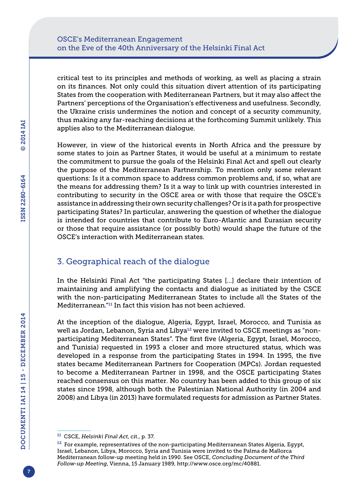critical test to its principles and methods of working, as well as placing a strain on its finances. Not only could this situation divert attention of its participating States from the cooperation with Mediterranean Partners, but it may also affect the Partners' perceptions of the Organisation's effectiveness and usefulness. Secondly, the Ukraine crisis undermines the notion and concept of a security community, thus making any far-reaching decisions at the forthcoming Summit unlikely. This applies also to the Mediterranean dialogue.

However, in view of the historical events in North Africa and the pressure by some states to join as Partner States, it would be useful at a minimum to restate the commitment to pursue the goals of the Helsinki Final Act and spell out clearly the purpose of the Mediterranean Partnership. To mention only some relevant questions: Is it a common space to address common problems and, if so, what are the means for addressing them? Is it a way to link up with countries interested in contributing to security in the OSCE area or with those that require the OSCE's assistance in addressing their own security challenges? Or is it a path for prospective participating States? In particular, answering the question of whether the dialogue is intended for countries that contribute to Euro-Atlantic and Eurasian security or those that require assistance (or possibly both) would shape the future of the OSCE's interaction with Mediterranean states.

# 3. Geographical reach of the dialogue

In the Helsinki Final Act "the participating States [...] declare their intention of maintaining and amplifying the contacts and dialogue as initiated by the CSCE with the non-participating Mediterranean States to include all the States of the Mediterranean."11 In fact this vision has not been achieved.

At the inception of the dialogue, Algeria, Egypt, Israel, Morocco, and Tunisia as well as Jordan, Lebanon, Syria and Libya<sup>12</sup> were invited to CSCE meetings as "nonparticipating Mediterranean States". The first five (Algeria, Egypt, Israel, Morocco, and Tunisia) requested in 1993 a closer and more structured status, which was developed in a response from the participating States in 1994. In 1995, the five states became Mediterranean Partners for Cooperation (MPCs). Jordan requested to become a Mediterranean Partner in 1998, and the OSCE participating States reached consensus on this matter. No country has been added to this group of six states since 1998, although both the Palestinian National Authority (in 2004 and 2008) and Libya (in 2013) have formulated requests for admission as Partner States.

<sup>11</sup> CSCE, *Helsinki Final Act*, cit., p. 37.

<sup>&</sup>lt;sup>12</sup> For example, representatives of the non-participating Mediterranean States Algeria, Egypt, Israel, Lebanon, Libya, Morocco, Syria and Tunisia were invited to the Palma de Mallorca Mediterranean follow-up meeting held in 1990. See OSCE, *Concluding Document of the Third Follow-up Meeting*, Vienna, 15 January 1989, [http://www.osce.org/mc/40881.](http://www.osce.org/mc/40881)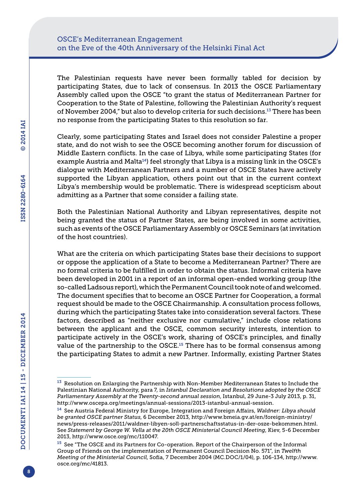The Palestinian requests have never been formally tabled for decision by participating States, due to lack of consensus. In 2013 the OSCE Parliamentary Assembly called upon the OSCE "to grant the status of Mediterranean Partner for Cooperation to the State of Palestine, following the Palestinian Authority's request of November 2004," but also to develop criteria for such decisions.<sup>13</sup> There has been no response from the participating States to this resolution so far.

Clearly, some participating States and Israel does not consider Palestine a proper state, and do not wish to see the OSCE becoming another forum for discussion of Middle Eastern conflicts. In the case of Libya, while some participating States (for example Austria and Malta<sup>14</sup>) feel strongly that Libya is a missing link in the OSCE's dialogue with Mediterranean Partners and a number of OSCE States have actively supported the Libyan application, others point out that in the current context Libya's membership would be problematic. There is widespread scepticism about admitting as a Partner that some consider a failing state.

Both the Palestinian National Authority and Libyan representatives, despite not being granted the status of Partner States, are being involved in some activities, such as events of the OSCE Parliamentary Assembly or OSCE Seminars (at invitation of the host countries).

What are the criteria on which participating States base their decisions to support or oppose the application of a State to become a Mediterranean Partner? There are no formal criteria to be fulfilled in order to obtain the status. Informal criteria have been developed in 2001 in a report of an informal open-ended working group (the so-called Ladsous report), which the Permanent Council took note of and welcomed. The document specifies that to become an OSCE Partner for Cooperation, a formal request should be made to the OSCE Chairmanship. A consultation process follows, during which the participating States take into consideration several factors. These factors, described as "neither exclusive nor cumulative," include close relations between the applicant and the OSCE, common security interests, intention to participate actively in the OSCE's work, sharing of OSCE's principles, and finally value of the partnership to the OSCE.<sup>15</sup> There has to be formal consensus among the participating States to admit a new Partner. Informally, existing Partner States

 $^{13}$  Resolution on Enlarging the Partnership with Non-Member Mediterranean States to Include the Palestinian National Authority, para 7, in *Istanbul Declaration and Resolutions adopted by the OSCE Parliamentary Assembly at the Twenty-second annual session*, Istanbul, 29 June-3 July 2013, p. 31, <http://www.oscepa.org/meetings/annual-sessions/2013-istanbul-annual-session>.

<sup>14</sup> See Austria Federal Ministry for Europe, Integration and Foreign Affairs, *Waldner: Libya should be granted OSCE partner Status*, 6 December 2013, [http://www.bmeia.gv.at/en/foreign-ministry/](http://www.bmeia.gv.at/en/foreign-ministry/news/press-releases/2011/waldner-libyen-soll-partnerschaftsstatus-in-der-osze-bekommen.html) [news/press-releases/2011/waldner-libyen-soll-partnerschaftsstatus-in-der-osze-bekommen.html.](http://www.bmeia.gv.at/en/foreign-ministry/news/press-releases/2011/waldner-libyen-soll-partnerschaftsstatus-in-der-osze-bekommen.html) See *Statement by George W. Vella at the 20th OSCE Ministerial Council Meeting*, Kiev, 5-6 December 2013,<http://www.osce.org/mc/110047>.

<sup>&</sup>lt;sup>15</sup> See "The OSCE and its Partners for Co-operation. Report of the Chairperson of the Informal Group of Friends on the implementation of Permanent Council Decision No. 571", in *Twelfth Meeting of the Ministerial Council*, Sofia, 7 December 2004 [\(MC.DOC/](MC.DOC)1/04), p. 106-134, [http://www.](http://www.osce.org/mc/41813) [osce.org/mc/41813](http://www.osce.org/mc/41813).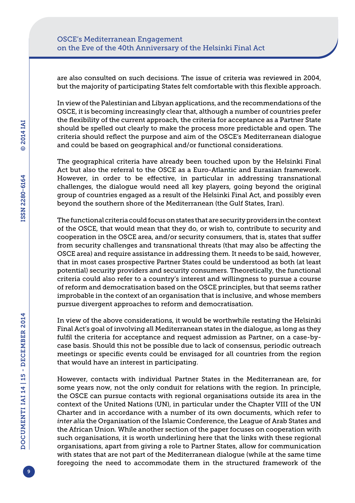are also consulted on such decisions. The issue of criteria was reviewed in 2004, but the majority of participating States felt comfortable with this flexible approach.

In view of the Palestinian and Libyan applications, and the recommendations of the OSCE, it is becoming increasingly clear that, although a number of countries prefer the flexibility of the current approach, the criteria for acceptance as a Partner State should be spelled out clearly to make the process more predictable and open. The criteria should reflect the purpose and aim of the OSCE's Mediterranean dialogue and could be based on geographical and/or functional considerations.

The geographical criteria have already been touched upon by the Helsinki Final Act but also the referral to the OSCE as a Euro-Atlantic and Eurasian framework. However, in order to be effective, in particular in addressing transnational challenges, the dialogue would need all key players, going beyond the original group of countries engaged as a result of the Helsinki Final Act, and possibly even beyond the southern shore of the Mediterranean (the Gulf States, Iran).

The functional criteria could focus on states that are security providers in the context of the OSCE, that would mean that they do, or wish to, contribute to security and cooperation in the OSCE area, and/or security consumers, that is, states that suffer from security challenges and transnational threats (that may also be affecting the OSCE area) and require assistance in addressing them. It needs to be said, however, that in most cases prospective Partner States could be understood as both (at least potential) security providers and security consumers. Theoretically, the functional criteria could also refer to a country's interest and willingness to pursue a course of reform and democratisation based on the OSCE principles, but that seems rather improbable in the context of an organisation that is inclusive, and whose members pursue divergent approaches to reform and democratisation.

In view of the above considerations, it would be worthwhile restating the Helsinki Final Act's goal of involving all Mediterranean states in the dialogue, as long as they fulfil the criteria for acceptance and request admission as Partner, on a case-bycase basis. Should this not be possible due to lack of consensus, periodic outreach meetings or specific events could be envisaged for all countries from the region that would have an interest in participating.

However, contacts with individual Partner States in the Mediterranean are, for some years now, not the only conduit for relations with the region. In principle, the OSCE can pursue contacts with regional organisations outside its area in the context of the United Nations (UN), in particular under the Chapter VIII of the UN Charter and in accordance with a number of its own documents, which refer to *inter alia* the Organisation of the Islamic Conference, the League of Arab States and the African Union. While another section of the paper focuses on cooperation with such organisations, it is worth underlining here that the links with these regional organisations, apart from giving a role to Partner States, allow for communication with states that are not part of the Mediterranean dialogue (while at the same time foregoing the need to accommodate them in the structured framework of the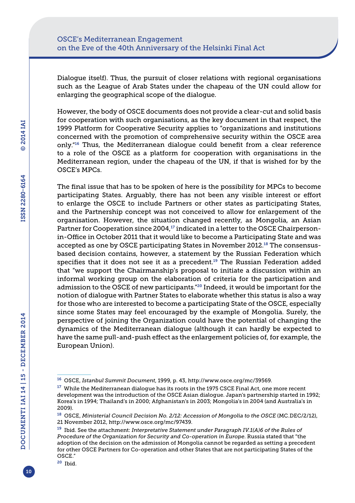Dialogue itself). Thus, the pursuit of closer relations with regional organisations such as the League of Arab States under the chapeau of the UN could allow for enlarging the geographical scope of the dialogue.

However, the body of OSCE documents does not provide a clear-cut and solid basis for cooperation with such organisations, as the key document in that respect, the 1999 Platform for Cooperative Security applies to "organizations and institutions concerned with the promotion of comprehensive security within the OSCE area only."<sup>16</sup> Thus, the Mediterranean dialogue could benefit from a clear reference to a role of the OSCE as a platform for cooperation with organisations in the Mediterranean region, under the chapeau of the UN, if that is wished for by the OSCE's MPCs.

The final issue that has to be spoken of here is the possibility for MPCs to become participating States. Arguably, there has not been any visible interest or effort to enlarge the OSCE to include Partners or other states as participating States, and the Partnership concept was not conceived to allow for enlargement of the organisation. However, the situation changed recently, as Mongolia, an Asian Partner for Cooperation since 2004,<sup>17</sup> indicated in a letter to the OSCE Chairpersonin-Office in October 2011 that it would like to become a Participating State and was accepted as one by OSCE participating States in November 2012.<sup>18</sup> The consensusbased decision contains, however, a statement by the Russian Federation which specifies that it does not see it as a precedent.<sup>19</sup> The Russian Federation added that "we support the Chairmanship's proposal to initiate a discussion within an informal working group on the elaboration of criteria for the participation and admission to the OSCE of new participants."20 Indeed, it would be important for the notion of dialogue with Partner States to elaborate whether this status is also a way for those who are interested to become a participating State of the OSCE, especially since some States may feel encouraged by the example of Mongolia. Surely, the perspective of joining the Organization could have the potential of changing the dynamics of the Mediterranean dialogue (although it can hardly be expected to have the same pull-and-push effect as the enlargement policies of, for example, the European Union).

<sup>20</sup> Ibid.

<sup>16</sup> OSCE, *Istanbul Summit Document*, 1999, p. 43,<http://www.osce.org/mc/39569>.

<sup>&</sup>lt;sup>17</sup> While the Mediterranean dialogue has its roots in the 1975 CSCE Final Act, one more recent development was the introduction of the OSCE Asian dialogue. Japan's partnership started in 1992; Korea's in 1994; Thailand's in 2000; Afghanistan's in 2003; Mongolia's in 2004 (and Australia's in 2009).

<sup>18</sup> OSCE, *Ministerial Council Decision No. 2/12: Accession of Mongolia to the OSCE* (<MC.DEC>/2/12), 21 November 2012, [http://www.osce.org/mc/97439.](http://www.osce.org/mc/97439)

<sup>19</sup> Ibid. See the attachment: *Interpretative Statement under Paragraph IV.1(A)6 of the Rules of Procedure of the Organization for Security and Co-operation in Europe*. Russia stated that "the adoption of the decision on the admission of Mongolia cannot be regarded as setting a precedent for other OSCE Partners for Co-operation and other States that are not participating States of the OSCE."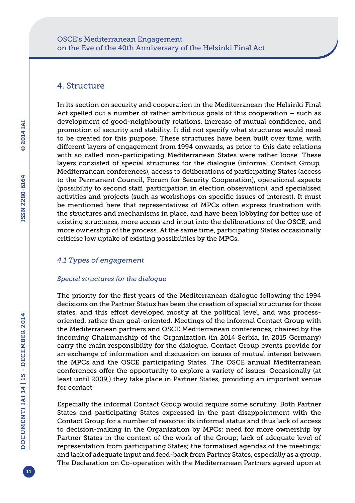## 4. Structure

In its section on security and cooperation in the Mediterranean the Helsinki Final Act spelled out a number of rather ambitious goals of this cooperation – such as development of good-neighbourly relations, increase of mutual confidence, and promotion of security and stability. It did not specify what structures would need to be created for this purpose. These structures have been built over time, with different layers of engagement from 1994 onwards, as prior to this date relations with so called non-participating Mediterranean States were rather loose. These layers consisted of special structures for the dialogue (informal Contact Group, Mediterranean conferences), access to deliberations of participating States (access to the Permanent Council, Forum for Security Cooperation), operational aspects (possibility to second staff, participation in election observation), and specialised activities and projects (such as workshops on specific issues of interest). It must be mentioned here that representatives of MPCs often express frustration with the structures and mechanisms in place, and have been lobbying for better use of existing structures, more access and input into the deliberations of the OSCE, and more ownership of the process. At the same time, participating States occasionally criticise low uptake of existing possibilities by the MPCs.

## *4.1 Types of engagement*

### *Special structures for the dialogue*

The priority for the first years of the Mediterranean dialogue following the 1994 decisions on the Partner Status has been the creation of special structures for those states, and this effort developed mostly at the political level, and was processoriented, rather than goal-oriented. Meetings of the informal Contact Group with the Mediterranean partners and OSCE Mediterranean conferences, chaired by the incoming Chairmanship of the Organization (in 2014 Serbia, in 2015 Germany) carry the main responsibility for the dialogue. Contact Group events provide for an exchange of information and discussion on issues of mutual interest between the MPCs and the OSCE participating States. The OSCE annual Mediterranean conferences offer the opportunity to explore a variety of issues. Occasionally (at least until 2009,) they take place in Partner States, providing an important venue for contact.

Especially the informal Contact Group would require some scrutiny. Both Partner States and participating States expressed in the past disappointment with the Contact Group for a number of reasons: its informal status and thus lack of access to decision-making in the Organization by MPCs; need for more ownership by Partner States in the context of the work of the Group; lack of adequate level of representation from participating States; the formalised agendas of the meetings; and lack of adequate input and feed-back from Partner States, especially as a group. The Declaration on Co-operation with the Mediterranean Partners agreed upon at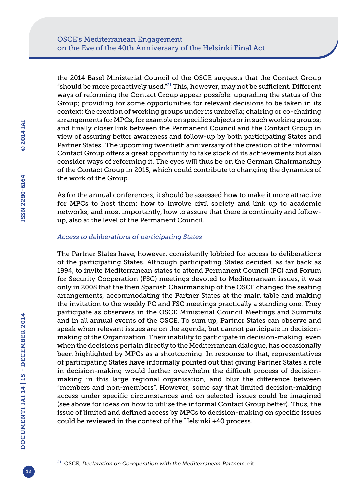the 2014 Basel Ministerial Council of the OSCE suggests that the Contact Group "should be more proactively used."<sup>21</sup> This, however, may not be sufficient. Different ways of reforming the Contact Group appear possible: upgrading the status of the Group; providing for some opportunities for relevant decisions to be taken in its context; the creation of working groups under its umbrella; chairing or co-chairing arrangements for MPCs, for example on specific subjects or in such working groups; and finally closer link between the Permanent Council and the Contact Group in view of assuring better awareness and follow-up by both participating States and Partner States . The upcoming twentieth anniversary of the creation of the informal Contact Group offers a great opportunity to take stock of its achievements but also consider ways of reforming it. The eyes will thus be on the German Chairmanship of the Contact Group in 2015, which could contribute to changing the dynamics of the work of the Group.

As for the annual conferences, it should be assessed how to make it more attractive for MPCs to host them; how to involve civil society and link up to academic networks; and most importantly, how to assure that there is continuity and followup, also at the level of the Permanent Council.

#### *Access to deliberations of participating States*

The Partner States have, however, consistently lobbied for access to deliberations of the participating States. Although participating States decided, as far back as 1994, to invite Mediterranean states to attend Permanent Council (PC) and Forum for Security Cooperation (FSC) meetings devoted to Mediterranean issues, it was only in 2008 that the then Spanish Chairmanship of the OSCE changed the seating arrangements, accommodating the Partner States at the main table and making the invitation to the weekly PC and FSC meetings practically a standing one. They participate as observers in the OSCE Ministerial Council Meetings and Summits and in all annual events of the OSCE. To sum up, Partner States can observe and speak when relevant issues are on the agenda, but cannot participate in decisionmaking of the Organization. Their inability to participate in decision-making, even when the decisions pertain directly to the Mediterranean dialogue, has occasionally been highlighted by MPCs as a shortcoming. In response to that, representatives of participating States have informally pointed out that giving Partner States a role in decision-making would further overwhelm the difficult process of decisionmaking in this large regional organisation, and blur the difference between "members and non-members". However, some say that limited decision-making access under specific circumstances and on selected issues could be imagined (see above for ideas on how to utilise the informal Contact Group better). Thus, the issue of limited and defined access by MPCs to decision-making on specific issues could be reviewed in the context of the Helsinki +40 process.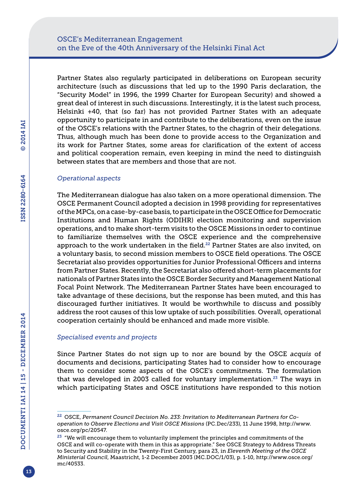Partner States also regularly participated in deliberations on European security architecture (such as discussions that led up to the 1990 Paris declaration, the "Security Model" in 1996, the 1999 Charter for European Security) and showed a great deal of interest in such discussions. Interestingly, it is the latest such process, Helsinki +40, that (so far) has not provided Partner States with an adequate opportunity to participate in and contribute to the deliberations, even on the issue of the OSCE's relations with the Partner States, to the chagrin of their delegations. Thus, although much has been done to provide access to the Organization and its work for Partner States, some areas for clarification of the extent of access and political cooperation remain, even keeping in mind the need to distinguish between states that are members and those that are not.

#### *Operational aspects*

The Mediterranean dialogue has also taken on a more operational dimension. The OSCE Permanent Council adopted a decision in 1998 providing for representatives of the MPCs, on a case-by-case basis, to participate in the OSCE Office for Democratic Institutions and Human Rights (ODIHR) election monitoring and supervision operations, and to make short-term visits to the OSCE Missions in order to continue to familiarize themselves with the OSCE experience and the comprehensive approach to the work undertaken in the field.<sup>22</sup> Partner States are also invited, on a voluntary basis, to second mission members to OSCE field operations. The OSCE Secretariat also provides opportunities for Junior Professional Officers and interns from Partner States. Recently, the Secretariat also offered short-term placements for nationals of Partner States into the OSCE Border Security and Management National Focal Point Network. The Mediterranean Partner States have been encouraged to take advantage of these decisions, but the response has been muted, and this has discouraged further initiatives. It would be worthwhile to discuss and possibly address the root causes of this low uptake of such possibilities. Overall, operational cooperation certainly should be enhanced and made more visible.

#### *Specialised events and projects*

Since Partner States do not sign up to nor are bound by the OSCE *acquis* of documents and decisions, participating States had to consider how to encourage them to consider some aspects of the OSCE's commitments. The formulation that was developed in 2003 called for voluntary implementation.<sup>23</sup> The ways in which participating States and OSCE institutions have responded to this notion

<sup>22</sup> OSCE, *Permanent Council Decision No. 233: Invitation to Mediterranean Partners for Cooperation to Observe Elections and Visit OSCE Missions* ([PC.Dec/](PC.Dec)233), 11 June 1998, [http://www.](http://www.osce.org/pc/20547) [osce.org/pc/20547.](http://www.osce.org/pc/20547)

 $23$  "We will encourage them to voluntarily implement the principles and commitments of the OSCE and will co-operate with them in this as appropriate." See OSCE Strategy to Address Threats to Security and Stability in the Twenty-First Century, para 23, in *Eleventh Meeting of the OSCE Ministerial Council*, Maastricht, 1-2 December 2003 [\(MC.DOC](MC.DOC)/1/03), p. 1-10, [http://www.osce.org/](http://www.osce.org/mc/40533) [mc/40533.](http://www.osce.org/mc/40533)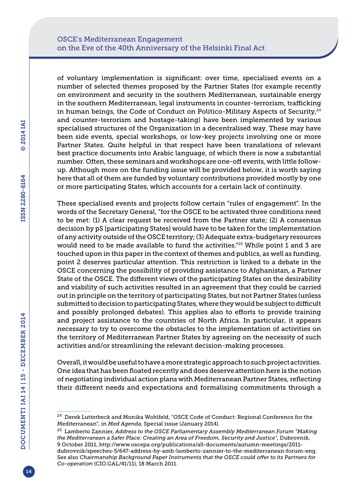of voluntary implementation is significant: over time, specialised events on a number of selected themes proposed by the Partner States (for example recently on environment and security in the southern Mediterranean, sustainable energy in the southern Mediterranean, legal instruments in counter-terrorism, trafficking in human beings, the Code of Conduct on Politico-Military Aspects of Security, $24$ and counter-terrorism and hostage-taking) have been implemented by various specialised structures of the Organization in a decentralised way. These may have been side events, special workshops, or low-key projects involving one or more Partner States. Quite helpful in that respect have been translations of relevant best practice documents into Arabic language, of which there is now a substantial number. Often, these seminars and workshops are one-off events, with little followup. Although more on the funding issue will be provided below, it is worth saying here that all of them are funded by voluntary contributions provided mostly by one or more participating States, which accounts for a certain lack of continuity.

These specialised events and projects follow certain "rules of engagement". In the words of the Secretary General, "for the OSCE to be activated three conditions need to be met: (1) A clear request be received from the Partner state; (2) A consensus decision by pS [participating States] would have to be taken for the implementation of any activity outside of the OSCE territory; (3) Adequate extra-budgetary resources would need to be made available to fund the activities."<sup>25</sup> While point 1 and 3 are touched upon in this paper in the context of themes and publics, as well as funding, point 2 deserves particular attention. This restriction is linked to a debate in the OSCE concerning the possibility of providing assistance to Afghanistan, a Partner State of the OSCE. The different views of the participating States on the desirability and viability of such activities resulted in an agreement that they could be carried out in principle on the territory of participating States, but not Partner States (unless submitted to decision to participating States, where they would be subject to difficult and possibly prolonged debates). This applies also to efforts to provide training and project assistance to the countries of North Africa. In particular, it appears necessary to try to overcome the obstacles to the implementation of activities on the territory of Mediterranean Partner States by agreeing on the necessity of such activities and/or streamlining the relevant decision-making processes.

Overall, it would be useful to have a more strategic approach to such project activities. One idea that has been floated recently and does deserve attention here is the notion of negotiating individual action plans with Mediterranean Partner States, reflecting their different needs and expectations and formalising commitments through a

<sup>&</sup>lt;sup>24</sup> Derek Lutterbeck and Monika Wohlfeld, "OSCE Code of Conduct: Regional Conference for the Mediterranean", in *Med Agenda*, Special issue (January 2014).

<sup>25</sup> Lamberto Zannier, *Address to the OSCE Parliamentary Assembly Mediterranean Forum "Making the Mediterranean a Safer Place: Creating an Area of Freedom, Security and Justice"*, Dubrovnik, 9 October 2011, [http://www.oscepa.org/publications/all-documents/autumn-meetings/2011](http://www.oscepa.org/publications/all-documents/autumn-meetings/2011-dubrovnik/speeches-5/647-address-by-amb-lamberto-zannier-to-the-mediterranean-forum-eng) [dubrovnik/speeches-5/647-address-by-amb-lamberto-zannier-to-the-mediterranean-forum-eng](http://www.oscepa.org/publications/all-documents/autumn-meetings/2011-dubrovnik/speeches-5/647-address-by-amb-lamberto-zannier-to-the-mediterranean-forum-eng). See also *Chairmanship Background Paper Instruments that the OSCE could offer to its Partners for Co-operation* ([CIO.GAL/](CIO.GAL)41/11), 18 March 2011.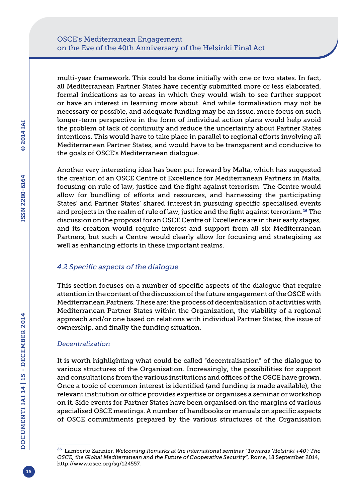multi-year framework. This could be done initially with one or two states. In fact, all Mediterranean Partner States have recently submitted more or less elaborated, formal indications as to areas in which they would wish to see further support or have an interest in learning more about. And while formalisation may not be necessary or possible, and adequate funding may be an issue, more focus on such longer-term perspective in the form of individual action plans would help avoid the problem of lack of continuity and reduce the uncertainty about Partner States intentions. This would have to take place in parallel to regional efforts involving all Mediterranean Partner States, and would have to be transparent and conducive to the goals of OSCE's Mediterranean dialogue.

Another very interesting idea has been put forward by Malta, which has suggested the creation of an OSCE Centre of Excellence for Mediterranean Partners in Malta, focusing on rule of law, justice and the fight against terrorism. The Centre would allow for bundling of efforts and resources, and harnessing the participating States' and Partner States' shared interest in pursuing specific specialised events and projects in the realm of rule of law, justice and the fight against terrorism.<sup>26</sup> The discussion on the proposal for an OSCE Centre of Excellence are in their early stages, and its creation would require interest and support from all six Mediterranean Partners, but such a Centre would clearly allow for focusing and strategising as well as enhancing efforts in these important realms.

## *4.2 Specific aspects of the dialogue*

This section focuses on a number of specific aspects of the dialogue that require attention in the context of the discussion of the future engagement of the OSCE with Mediterranean Partners. These are: the process of decentralisation of activities with Mediterranean Partner States within the Organization, the viability of a regional approach and/or one based on relations with individual Partner States, the issue of ownership, and finally the funding situation.

## *Decentralization*

It is worth highlighting what could be called "decentralisation" of the dialogue to various structures of the Organisation. Increasingly, the possibilities for support and consultations from the various institutions and offices of the OSCE have grown. Once a topic of common interest is identified (and funding is made available), the relevant institution or office provides expertise or organises a seminar or workshop on it. Side events for Partner States have been organised on the margins of various specialised OSCE meetings. A number of handbooks or manuals on specific aspects of OSCE commitments prepared by the various structures of the Organisation

<sup>26</sup> Lamberto Zannier, *Welcoming Remarks at the international seminar "Towards 'Helsinki +40': The OSCE, the Global Mediterranean and the Future of Cooperative Security"*, Rome, 18 September 2014, [http://www.osce.org/sg/124557.](http://www.osce.org/sg/124557)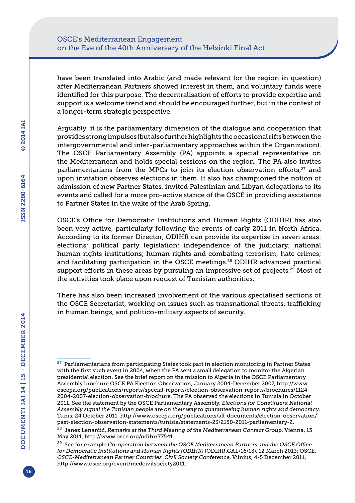have been translated into Arabic (and made relevant for the region in question) after Mediterranean Partners showed interest in them, and voluntary funds were identified for this purpose. The decentralisation of efforts to provide expertise and support is a welcome trend and should be encouraged further, but in the context of a longer-term strategic perspective.

Arguably, it is the parliamentary dimension of the dialogue and cooperation that provides strong impulses (but also further highlights the occasional rifts between the intergovernmental and inter-parliamentary approaches within the Organization). The OSCE Parliamentary Assembly (PA) appoints a special representative on the Mediterranean and holds special sessions on the region. The PA also invites parliamentarians from the MPCs to join its election observation efforts,<sup>27</sup> and upon invitation observes elections in them. It also has championed the notion of admission of new Partner States, invited Palestinian and Libyan delegations to its events and called for a more pro-active stance of the OSCE in providing assistance to Partner States in the wake of the Arab Spring.

OSCE's Office for Democratic Institutions and Human Rights (ODIHR) has also been very active, particularly following the events of early 2011 in North Africa. According to its former Director, ODIHR can provide its expertise in seven areas: elections; political party legislation; independence of the judiciary; national human rights institutions; human rights and combating terrorism; hate crimes; and facilitating participation in the OSCE meetings.<sup>28</sup> ODIHR advanced practical support efforts in these areas by pursuing an impressive set of projects.<sup>29</sup> Most of the activities took place upon request of Tunisian authorities.

There has also been increased involvement of the various specialised sections of the OSCE Secretariat, working on issues such as transnational threats, trafficking in human beings, and politico-military aspects of security.

<sup>&</sup>lt;sup>27</sup> Parliamentarians from participating States took part in election monitoring in Partner States with the first such event in 2004, when the PA sent a small delegation to monitor the Algerian presidential election. See the brief report on the mission to Algeria in the OSCE Parliamentary Assembly brochure OSCE PA Election Observation, January 2004-December 2007, [http://www.](http://www.oscepa.org/publications/reports/special-reports/election-observation-reports/brochures/1124-2004-2007-election-observation-brochure) [oscepa.org/publications/reports/special-reports/election-observation-reports/brochures/1124-](http://www.oscepa.org/publications/reports/special-reports/election-observation-reports/brochures/1124-2004-2007-election-observation-brochure) [2004-2007-election-observation-brochure](http://www.oscepa.org/publications/reports/special-reports/election-observation-reports/brochures/1124-2004-2007-election-observation-brochure). The PA observed the elections in Tunisia in October 2011. See the statement by the OSCE Parliamentary Assembly, *Elections for Constituent National Assembly signal the Tunisian people are on their way to guaranteeing human rights and democracy*, Tunis, 24 October 2011, [http://www.oscepa.org/publications/all-documents/election-observation/](http://www.oscepa.org/publications/all-documents/election-observation/past-election-observation-statements/tunisia/statements-23/2150-2011-parliamentary-2) [past-election-observation-statements/tunisia/statements-23/2150-2011-parliamentary-2](http://www.oscepa.org/publications/all-documents/election-observation/past-election-observation-statements/tunisia/statements-23/2150-2011-parliamentary-2).

<sup>28</sup> Janez Lenarčič, *Remarks at the Third Meeting of the Mediterranean Contact Group*, Vienna, 13 May 2011, <http://www.osce.org/odihr/77541>.

<sup>29</sup> See for example *Co-operation between the OSCE Mediterranean Partners and the OSCE Office for Democratic Institutions and Human Rights (ODIHR)* [\(ODIHR.GAL](ODIHR.GAL)/16/13), 12 March 2013; OSCE, *OSCE-Mediterranean Partner Countries' Civil Society Conference*, Vilnius, 4-5 December 2011, <http://www.osce.org/event/medcivilsociety2011>.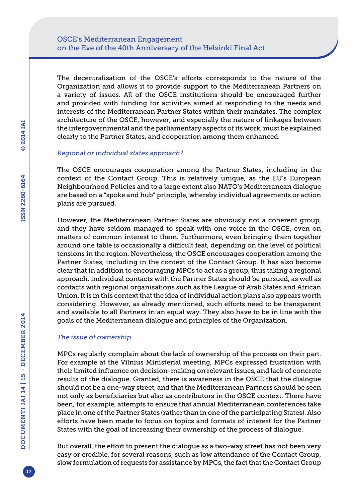The decentralisation of the OSCE's efforts corresponds to the nature of the Organization and allows it to provide support to the Mediterranean Partners on a variety of issues. All of the OSCE institutions should be encouraged further and provided with funding for activities aimed at responding to the needs and interests of the Mediterranean Partner States within their mandates. The complex architecture of the OSCE, however, and especially the nature of linkages between the intergovernmental and the parliamentary aspects of its work, must be explained clearly to the Partner States, and cooperation among them enhanced.

#### *Regional or individual states approach?*

The OSCE encourages cooperation among the Partner States, including in the context of the Contact Group. This is relatively unique, as the EU's European Neighbourhood Policies and to a large extent also NATO's Mediterranean dialogue are based on a "spoke and hub" principle, whereby individual agreements or action plans are pursued.

However, the Mediterranean Partner States are obviously not a coherent group, and they have seldom managed to speak with one voice in the OSCE, even on matters of common interest to them. Furthermore, even bringing them together around one table is occasionally a difficult feat, depending on the level of political tensions in the region. Nevertheless, the OSCE encourages cooperation among the Partner States, including in the context of the Contact Group. It has also become clear that in addition to encouraging MPCs to act as a group, thus taking a regional approach, individual contacts with the Partner States should be pursued, as well as contacts with regional organisations such as the League of Arab States and African Union. It is in this context that the idea of individual action plans also appears worth considering. However, as already mentioned, such efforts need to be transparent and available to all Partners in an equal way. They also have to be in line with the goals of the Mediterranean dialogue and principles of the Organization.

#### *The issue of ownership*

MPCs regularly complain about the lack of ownership of the process on their part. For example at the Vilnius Ministerial meeting, MPCs expressed frustration with their limited influence on decision-making on relevant issues, and lack of concrete results of the dialogue. Granted, there is awareness in the OSCE that the dialogue should not be a one-way street, and that the Mediterranean Partners should be seen not only as beneficiaries but also as contributors in the OSCE context. There have been, for example, attempts to ensure that annual Mediterranean conferences take place in one of the Partner States (rather than in one of the participating States). Also efforts have been made to focus on topics and formats of interest for the Partner States with the goal of increasing their ownership of the process of dialogue.

But overall, the effort to present the dialogue as a two-way street has not been very easy or credible, for several reasons, such as low attendance of the Contact Group, slow formulation of requests for assistance by MPCs, the fact that the Contact Group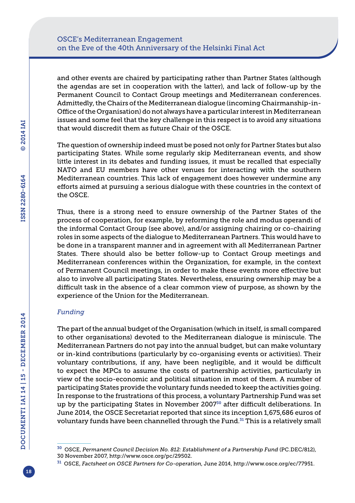and other events are chaired by participating rather than Partner States (although the agendas are set in cooperation with the latter), and lack of follow-up by the Permanent Council to Contact Group meetings and Mediterranean conferences. Admittedly, the Chairs of the Mediterranean dialogue (incoming Chairmanship-in-Office of the Organisation) do not always have a particular interest in Mediterranean issues and some feel that the key challenge in this respect is to avoid any situations that would discredit them as future Chair of the OSCE.

The question of ownership indeed must be posed not only for Partner States but also participating States. While some regularly skip Mediterranean events, and show little interest in its debates and funding issues, it must be recalled that especially NATO and EU members have other venues for interacting with the southern Mediterranean countries. This lack of engagement does however undermine any efforts aimed at pursuing a serious dialogue with these countries in the context of the OSCE.

Thus, there is a strong need to ensure ownership of the Partner States of the process of cooperation, for example, by reforming the role and modus operandi of the informal Contact Group (see above), and/or assigning chairing or co-chairing roles in some aspects of the dialogue to Mediterranean Partners. This would have to be done in a transparent manner and in agreement with all Mediterranean Partner States. There should also be better follow-up to Contact Group meetings and Mediterranean conferences within the Organization, for example, in the context of Permanent Council meetings, in order to make these events more effective but also to involve all participating States. Nevertheless, ensuring ownership may be a difficult task in the absence of a clear common view of purpose, as shown by the experience of the Union for the Mediterranean.

### *Funding*

The part of the annual budget of the Organisation (which in itself, is small compared to other organisations) devoted to the Mediterranean dialogue is miniscule. The Mediterranean Partners do not pay into the annual budget, but can make voluntary or in-kind contributions (particularly by co-organising events or activities). Their voluntary contributions, if any, have been negligible, and it would be difficult to expect the MPCs to assume the costs of partnership activities, particularly in view of the socio-economic and political situation in most of them. A number of participating States provide the voluntary funds needed to keep the activities going. In response to the frustrations of this process, a voluntary Partnership Fund was set up by the participating States in November 2007<sup>30</sup> after difficult deliberations. In June 2014, the OSCE Secretariat reported that since its inception 1,675,686 euros of voluntary funds have been channelled through the Fund.<sup>31</sup> This is a relatively small

<sup>30</sup> OSCE, *Permanent Council Decision No. 812: Establishment of a Partnership Fund* ([PC.DEC/](PC.DEC)812), 30 November 2007, <http://www.osce.org/pc/29502>.

<sup>31</sup> OSCE, *Factsheet on OSCE Partners for Co-operation*, June 2014, [http://www.osce.org/ec/77951.](http://www.osce.org/ec/77951)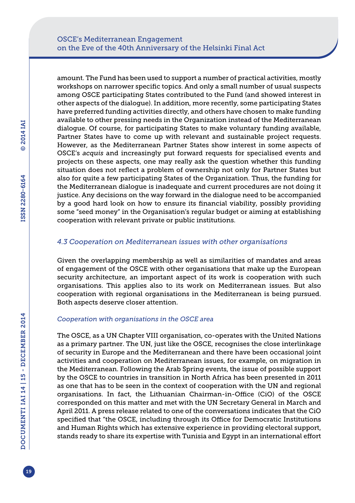amount. The Fund has been used to support a number of practical activities, mostly workshops on narrower specific topics. And only a small number of usual suspects among OSCE participating States contributed to the Fund (and showed interest in other aspects of the dialogue). In addition, more recently, some participating States have preferred funding activities directly, and others have chosen to make funding available to other pressing needs in the Organization instead of the Mediterranean dialogue. Of course, for participating States to make voluntary funding available, Partner States have to come up with relevant and sustainable project requests. However, as the Mediterranean Partner States show interest in some aspects of OSCE's *acquis* and increasingly put forward requests for specialised events and projects on these aspects, one may really ask the question whether this funding situation does not reflect a problem of ownership not only for Partner States but also for quite a few participating States of the Organization. Thus, the funding for the Mediterranean dialogue is inadequate and current procedures are not doing it justice. Any decisions on the way forward in the dialogue need to be accompanied by a good hard look on how to ensure its financial viability, possibly providing some "seed money" in the Organisation's regular budget or aiming at establishing cooperation with relevant private or public institutions.

## *4.3 Cooperation on Mediterranean issues with other organisations*

Given the overlapping membership as well as similarities of mandates and areas of engagement of the OSCE with other organisations that make up the European security architecture, an important aspect of its work is cooperation with such organisations. This applies also to its work on Mediterranean issues. But also cooperation with regional organisations in the Mediterranean is being pursued. Both aspects deserve closer attention.

### *Cooperation with organisations in the OSCE area*

The OSCE, as a UN Chapter VIII organisation, co-operates with the United Nations as a primary partner. The UN, just like the OSCE, recognises the close interlinkage of security in Europe and the Mediterranean and there have been occasional joint activities and cooperation on Mediterranean issues, for example, on migration in the Mediterranean. Following the Arab Spring events, the issue of possible support by the OSCE to countries in transition in North Africa has been presented in 2011 as one that has to be seen in the context of cooperation with the UN and regional organisations. In fact, the Lithuanian Chairman-in-Office (CiO) of the OSCE corresponded on this matter and met with the UN Secretary General in March and April 2011. A press release related to one of the conversations indicates that the CiO specified that "the OSCE, including through its Office for Democratic Institutions and Human Rights which has extensive experience in providing electoral support, stands ready to share its expertise with Tunisia and Egypt in an international effort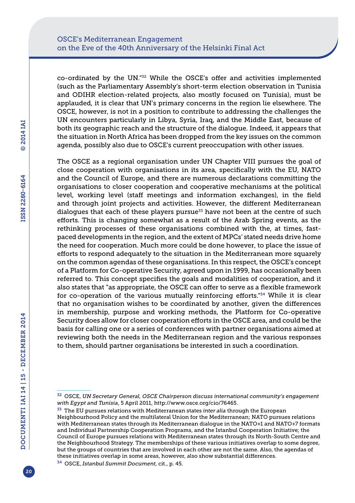co-ordinated by the UN."32 While the OSCE's offer and activities implemented (such as the Parliamentary Assembly's short-term election observation in Tunisia and ODIHR election-related projects, also mostly focused on Tunisia), must be applauded, it is clear that UN's primary concerns in the region lie elsewhere. The OSCE, however, is not in a position to contribute to addressing the challenges the UN encounters particularly in Libya, Syria, Iraq, and the Middle East, because of both its geographic reach and the structure of the dialogue. Indeed, it appears that the situation in North Africa has been dropped from the key issues on the common agenda, possibly also due to OSCE's current preoccupation with other issues.

The OSCE as a regional organisation under UN Chapter VIII pursues the goal of close cooperation with organisations in its area, specifically with the EU, NATO and the Council of Europe, and there are numerous declarations committing the organisations to closer cooperation and cooperative mechanisms at the political level, working level (staff meetings and information exchanges), in the field and through joint projects and activities. However, the different Mediterranean dialogues that each of these players pursue $33$  have not been at the centre of such efforts. This is changing somewhat as a result of the Arab Spring events, as the rethinking processes of these organisations combined with the, at times, fastpaced developments in the region, and the extent of MPCs' stated needs drive home the need for cooperation. Much more could be done however, to place the issue of efforts to respond adequately to the situation in the Mediterranean more squarely on the common agendas of these organisations. In this respect, the OSCE's concept of a Platform for Co-operative Security, agreed upon in 1999, has occasionally been referred to. This concept specifies the goals and modalities of cooperation, and it also states that "as appropriate, the OSCE can offer to serve as a flexible framework for co-operation of the various mutually reinforcing efforts."34 While it is clear that no organisation wishes to be coordinated by another, given the differences in membership, purpose and working methods, the Platform for Co-operative Security does allow for closer cooperation efforts in the OSCE area, and could be the basis for calling one or a series of conferences with partner organisations aimed at reviewing both the needs in the Mediterranean region and the various responses to them, should partner organisations be interested in such a coordination.

<sup>32</sup> OSCE, *UN Secretary General, OSCE Chairperson discuss international community's engagement with Egypt and Tunisia*, 5 April 2011, [http://www.osce.org/cio/76465.](http://www.osce.org/cio/76465)

<sup>33</sup> The EU pursues relations with Mediterranean states *inter alia* through the European Neighbourhood Policy and the multilateral Union for the Mediterranean; NATO pursues relations with Mediterranean states through its Mediterranean dialogue in the NATO+1 and NATO+7 formats and Individual Partnership Cooperation Programs, and the Istanbul Cooperation Initiative; the Council of Europe pursues relations with Mediterranean states through its North-South Centre and the Neighbourhood Strategy. The memberships of these various initiatives overlap to some degree, but the groups of countries that are involved in each other are not the same. Also, the agendas of these initiatives overlap in some areas, however, also show substantial differences.

<sup>34</sup> OSCE, *Istanbul Summit Document*, cit., p. 45.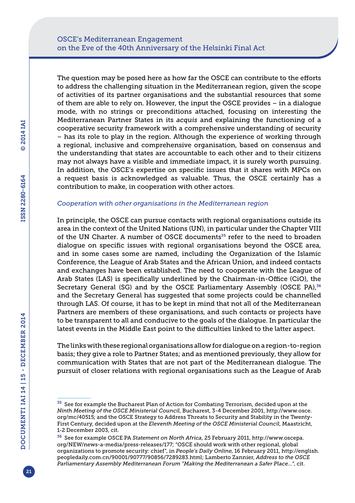The question may be posed here as how far the OSCE can contribute to the efforts to address the challenging situation in the Mediterranean region, given the scope of activities of its partner organisations and the substantial resources that some of them are able to rely on. However, the input the OSCE provides – in a dialogue mode, with no strings or preconditions attached, focusing on interesting the Mediterranean Partner States in its *acquis* and explaining the functioning of a cooperative security framework with a comprehensive understanding of security – has its role to play in the region. Although the experience of working through a regional, inclusive and comprehensive organisation, based on consensus and the understanding that states are accountable to each other and to their citizens may not always have a visible and immediate impact, it is surely worth pursuing. In addition, the OSCE's expertise on specific issues that it shares with MPCs on a request basis is acknowledged as valuable. Thus, the OSCE certainly has a contribution to make, in cooperation with other actors.

#### *Cooperation with other organisations in the Mediterranean region*

In principle, the OSCE can pursue contacts with regional organisations outside its area in the context of the United Nations (UN), in particular under the Chapter VIII of the UN Charter. A number of OSCE documents<sup>35</sup> refer to the need to broaden dialogue on specific issues with regional organisations beyond the OSCE area, and in some cases some are named, including the Organization of the Islamic Conference, the League of Arab States and the African Union, and indeed contacts and exchanges have been established. The need to cooperate with the League of Arab States (LAS) is specifically underlined by the Chairman-in-Office (CiO), the Secretary General (SG) and by the OSCE Parliamentary Assembly (OSCE PA),<sup>36</sup> and the Secretary General has suggested that some projects could be channelled through LAS. Of course, it has to be kept in mind that not all of the Mediterranean Partners are members of these organisations, and such contacts or projects have to be transparent to all and conducive to the goals of the dialogue. In particular the latest events in the Middle East point to the difficulties linked to the latter aspect.

The links with these regional organisations allow for dialogue on a region-to-region basis; they give a role to Partner States; and as mentioned previously, they allow for communication with States that are not part of the Mediterranean dialogue. The pursuit of closer relations with regional organisations such as the League of Arab

<sup>&</sup>lt;sup>35</sup> See for example the Bucharest Plan of Action for Combating Terrorism, decided upon at the *Ninth Meeting of the OSCE Ministerial Council*, Bucharest, 3-4 December 2001, [http://www.osce.](http://www.osce.org/mc/40515) [org/mc/40515;](http://www.osce.org/mc/40515) and the OSCE Strategy to Address Threats to Security and Stability in the Twenty-First Century, decided upon at the *Eleventh Meeting of the OSCE Ministerial Council*, Maastricht, 1-2 December 2003, cit.

<sup>36</sup> See for example OSCE PA *Statement on North Africa*, 25 February 2011, [http://www.oscepa.](http://www.oscepa.org/NEW/news-a-media/press-releases/177) [org/NEW/news-a-media/press-releases/177](http://www.oscepa.org/NEW/news-a-media/press-releases/177); "OSCE should work with other regional, global organizations to promote security: chief", in *People's Daily Online*, 16 February 2011, [http://english.](http://english.peopledaily.com.cn/90001/90777/90856/7289283.html) [peopledaily.com.cn/90001/90777/90856/7289283.html](http://english.peopledaily.com.cn/90001/90777/90856/7289283.html); Lamberto Zannier, *Address to the OSCE Parliamentary Assembly Mediterranean Forum "Making the Mediterranean a Safer Place…"*, cit.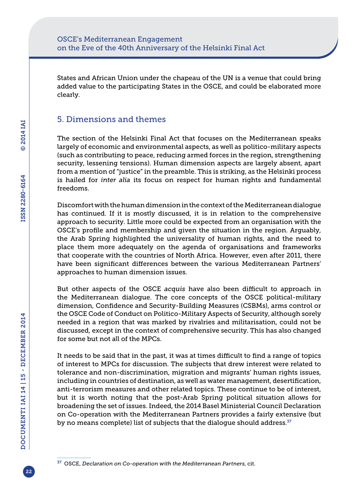States and African Union under the chapeau of the UN is a venue that could bring added value to the participating States in the OSCE, and could be elaborated more clearly.

# 5. Dimensions and themes

The section of the Helsinki Final Act that focuses on the Mediterranean speaks largely of economic and environmental aspects, as well as politico-military aspects (such as contributing to peace, reducing armed forces in the region, strengthening security, lessening tensions). Human dimension aspects are largely absent, apart from a mention of "justice" in the preamble. This is striking, as the Helsinki process is hailed for *inter alia* its focus on respect for human rights and fundamental freedoms.

Discomfort with the human dimension in the context of the Mediterranean dialogue has continued. If it is mostly discussed, it is in relation to the comprehensive approach to security. Little more could be expected from an organisation with the OSCE's profile and membership and given the situation in the region. Arguably, the Arab Spring highlighted the universality of human rights, and the need to place them more adequately on the agenda of organisations and frameworks that cooperate with the countries of North Africa. However, even after 2011, there have been significant differences between the various Mediterranean Partners' approaches to human dimension issues.

But other aspects of the OSCE *acquis* have also been difficult to approach in the Mediterranean dialogue. The core concepts of the OSCE political-military dimension, Confidence and Security-Building Measures (CSBMs), arms control or the OSCE Code of Conduct on Politico-Military Aspects of Security, although sorely needed in a region that was marked by rivalries and militarisation, could not be discussed, except in the context of comprehensive security. This has also changed for some but not all of the MPCs.

It needs to be said that in the past, it was at times difficult to find a range of topics of interest to MPCs for discussion. The subjects that drew interest were related to tolerance and non-discrimination, migration and migrants' human rights issues, including in countries of destination, as well as water management, desertification, anti-terrorism measures and other related topics. These continue to be of interest, but it is worth noting that the post-Arab Spring political situation allows for broadening the set of issues. Indeed, the 2014 Basel Ministerial Council Declaration on Co-operation with the Mediterranean Partners provides a fairly extensive (but by no means complete) list of subjects that the dialogue should address.<sup>37</sup>

© 2014 IAI

© 2014 IAI

<sup>37</sup> OSCE, *Declaration on Co-operation with the Mediterranean Partners*, cit.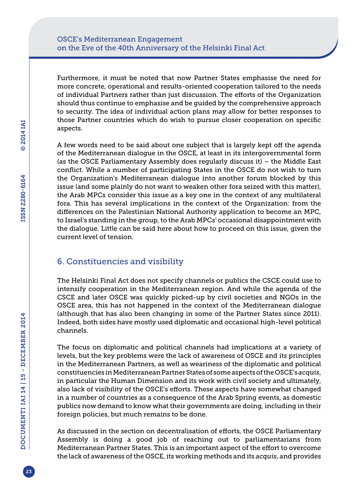Furthermore, it must be noted that now Partner States emphasise the need for more concrete, operational and results-oriented cooperation tailored to the needs of individual Partners rather than just discussion. The efforts of the Organization should thus continue to emphasise and be guided by the comprehensive approach to security. The idea of individual action plans may allow for better responses to those Partner countries which do wish to pursue closer cooperation on specific aspects.

A few words need to be said about one subject that is largely kept off the agenda of the Mediterranean dialogue in the OSCE, at least in its intergovernmental form (as the OSCE Parliamentary Assembly does regularly discuss it) – the Middle East conflict. While a number of participating States in the OSCE do not wish to turn the Organization's Mediterranean dialogue into another forum blocked by this issue (and some plainly do not want to weaken other fora seized with this matter), the Arab MPCs consider this issue as a key one in the context of any multilateral fora. This has several implications in the context of the Organization: from the differences on the Palestinian National Authority application to become an MPC, to Israel's standing in the group, to the Arab MPCs' occasional disappointment with the dialogue. Little can be said here about how to proceed on this issue, given the current level of tension.

# 6. Constituencies and visibility

The Helsinki Final Act does not specify channels or publics the CSCE could use to intensify cooperation in the Mediterranean region. And while the agenda of the CSCE and later OSCE was quickly picked-up by civil societies and NGOs in the OSCE area, this has not happened in the context of the Mediterranean dialogue (although that has also been changing in some of the Partner States since 2011). Indeed, both sides have mostly used diplomatic and occasional high-level political channels.

The focus on diplomatic and political channels had implications at a variety of levels, but the key problems were the lack of awareness of OSCE and its principles in the Mediterranean Partners, as well as weariness of the diplomatic and political constituencies in Mediterranean Partner States of some aspects of the OSCE's *acquis*, in particular the Human Dimension and its work with civil society and ultimately, also lack of visibility of the OSCE's efforts. These aspects have somewhat changed in a number of countries as a consequence of the Arab Spring events, as domestic publics now demand to know what their governments are doing, including in their foreign policies, but much remains to be done.

As discussed in the section on decentralisation of efforts, the OSCE Parliamentary Assembly is doing a good job of reaching out to parliamentarians from Mediterranean Partner States. This is an important aspect of the effort to overcome the lack of awareness of the OSCE, its working methods and its *acquis*, and provides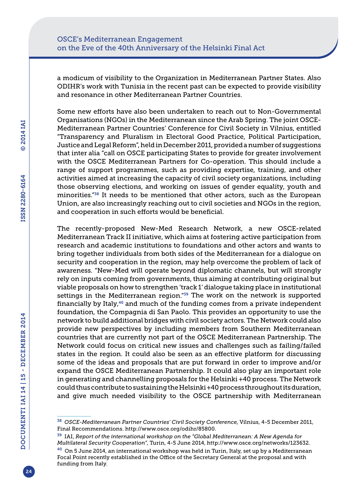a modicum of visibility to the Organization in Mediterranean Partner States. Also ODIHR's work with Tunisia in the recent past can be expected to provide visibility and resonance in other Mediterranean Partner Countries.

Some new efforts have also been undertaken to reach out to Non-Governmental Organisations (NGOs) in the Mediterranean since the Arab Spring. The joint OSCE-Mediterranean Partner Countries' Conference for Civil Society in Vilnius, entitled "Transparency and Pluralism in Electoral Good Practice, Political Participation, Justice and Legal Reform", held in December 2011, provided a number of suggestions that inter alia "call on OSCE participating States to provide for greater involvement with the OSCE Mediterranean Partners for Co-operation. This should include a range of support programmes, such as providing expertise, training, and other activities aimed at increasing the capacity of civil society organizations, including those observing elections, and working on issues of gender equality, youth and minorities."38 It needs to be mentioned that other actors, such as the European Union, are also increasingly reaching out to civil societies and NGOs in the region, and cooperation in such efforts would be beneficial.

The recently-proposed New-Med Research Network, a new OSCE-related Mediterranean Track II initiative, which aims at fostering active participation from research and academic institutions to foundations and other actors and wants to bring together individuals from both sides of the Mediterranean for a dialogue on security and cooperation in the region, may help overcome the problem of lack of awareness. "New-Med will operate beyond diplomatic channels, but will strongly rely on inputs coming from governments, thus aiming at contributing original but viable proposals on how to strengthen 'track 1' dialogue taking place in institutional settings in the Mediterranean region."<sup>39</sup> The work on the network is supported financially by Italy, $40$  and much of the funding comes from a private independent foundation, the Compagnia di San Paolo. This provides an opportunity to use the network to build additional bridges with civil society actors. The Network could also provide new perspectives by including members from Southern Mediterranean countries that are currently not part of the OSCE Mediterranean Partnership. The Network could focus on critical new issues and challenges such as failing/failed states in the region. It could also be seen as an effective platform for discussing some of the ideas and proposals that are put forward in order to improve and/or expand the OSCE Mediterranean Partnership. It could also play an important role in generating and channelling proposals for the Helsinki +40 process. The Network could thus contribute to sustaining the Helsinki +40 process throughout its duration, and give much needed visibility to the OSCE partnership with Mediterranean

<sup>38</sup> *OSCE-Mediterranean Partner Countries' Civil Society Conference*, Vilnius, 4-5 December 2011, Final Recommendations. <http://www.osce.org/odihr/85800>.

<sup>39</sup> IAI, *Report of the international workshop on the "Global Mediterranean: A New Agenda for Multilateral Security Cooperation"*, Turin, 4-5 June 2014,<http://www.osce.org/networks/123632>.

 $40$  On 5 June 2014, an international workshop was held in Turin, Italy, set up by a Mediterranean Focal Point recently established in the Office of the Secretary General at the proposal and with funding from Italy.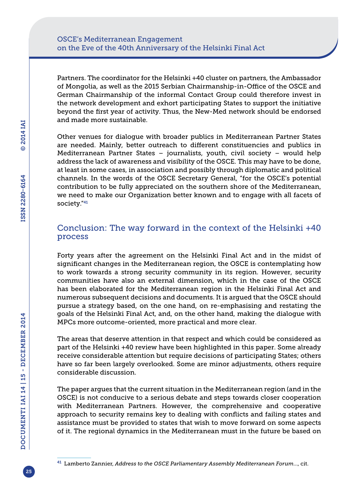Partners. The coordinator for the Helsinki +40 cluster on partners, the Ambassador of Mongolia, as well as the 2015 Serbian Chairmanship-in-Office of the OSCE and German Chairmanship of the informal Contact Group could therefore invest in the network development and exhort participating States to support the initiative beyond the first year of activity. Thus, the New-Med network should be endorsed and made more sustainable.

Other venues for dialogue with broader publics in Mediterranean Partner States are needed. Mainly, better outreach to different constituencies and publics in Mediterranean Partner States – journalists, youth, civil society – would help address the lack of awareness and visibility of the OSCE. This may have to be done, at least in some cases, in association and possibly through diplomatic and political channels. In the words of the OSCE Secretary General, "for the OSCE's potential contribution to be fully appreciated on the southern shore of the Mediterranean, we need to make our Organization better known and to engage with all facets of society."<sup>41</sup>

# Conclusion: The way forward in the context of the Helsinki +40 process

Forty years after the agreement on the Helsinki Final Act and in the midst of significant changes in the Mediterranean region, the OSCE is contemplating how to work towards a strong security community in its region. However, security communities have also an external dimension, which in the case of the OSCE has been elaborated for the Mediterranean region in the Helsinki Final Act and numerous subsequent decisions and documents. It is argued that the OSCE should pursue a strategy based, on the one hand, on re-emphasising and restating the goals of the Helsinki Final Act, and, on the other hand, making the dialogue with MPCs more outcome-oriented, more practical and more clear.

The areas that deserve attention in that respect and which could be considered as part of the Helsinki +40 review have been highlighted in this paper. Some already receive considerable attention but require decisions of participating States; others have so far been largely overlooked. Some are minor adjustments, others require considerable discussion.

The paper argues that the current situation in the Mediterranean region (and in the OSCE) is not conducive to a serious debate and steps towards closer cooperation with Mediterranean Partners. However, the comprehensive and cooperative approach to security remains key to dealing with conflicts and failing states and assistance must be provided to states that wish to move forward on some aspects of it. The regional dynamics in the Mediterranean must in the future be based on

<sup>41</sup> Lamberto Zannier, *Address to the OSCE Parliamentary Assembly Mediterranean Forum*…, cit.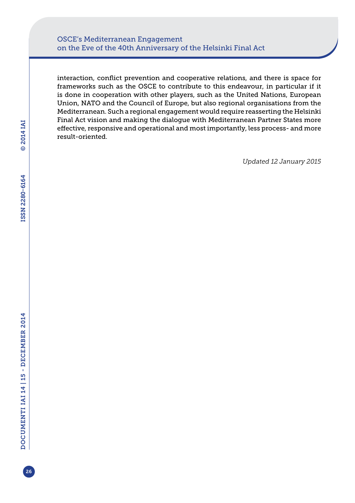## OSCE's Mediterranean Engagement on the Eve of the 40th Anniversary of the Helsinki Final Act

interaction, conflict prevention and cooperative relations, and there is space for frameworks such as the OSCE to contribute to this endeavour, in particular if it is done in cooperation with other players, such as the United Nations, European Union, NATO and the Council of Europe, but also regional organisations from the Mediterranean. Such a regional engagement would require reasserting the Helsinki Final Act vision and making the dialogue with Mediterranean Partner States more effective, responsive and operational and most importantly, less process- and more result-oriented.

*Updated 12 January 2015*